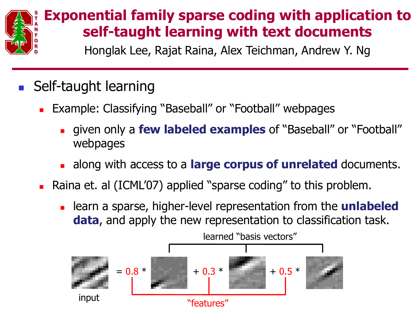

## **Exponential family sparse coding with application to self-taught learning with text documents**

**<sup>D</sup>** Honglak Lee, Rajat Raina, Alex Teichman, Andrew Y. Ng

## **Self-taught learning**

- **Example: Classifying "Baseball" or "Football" webpages** 
	- given only a **few labeled examples** of "Baseball" or "Football" webpages
	- along with access to a **large corpus of unrelated** documents.
- Raina et. al (ICML'07) applied "sparse coding" to this problem.
	- learn a sparse, higher-level representation from the **unlabeled data**, and apply the new representation to classification task.